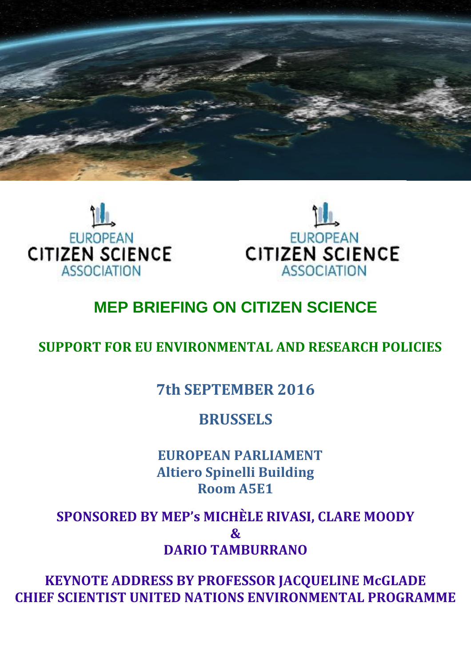





# **MEP BRIEFING ON CITIZEN SCIENCE**

### **SUPPORT FOR EU ENVIRONMENTAL AND RESEARCH POLICIES**

## **7th SEPTEMBER 2016**

### **BRUSSELS**

 **EUROPEAN PARLIAMENT Altiero Spinelli Building Room A5E1**

**SPONSORED BY MEP's MICHÈLE RIVASI, CLARE MOODY** 

**&** 

**DARIO TAMBURRANO**

**KEYNOTE ADDRESS BY PROFESSOR JACQUELINE McGLADE CHIEF SCIENTIST UNITED NATIONS ENVIRONMENTAL PROGRAMME**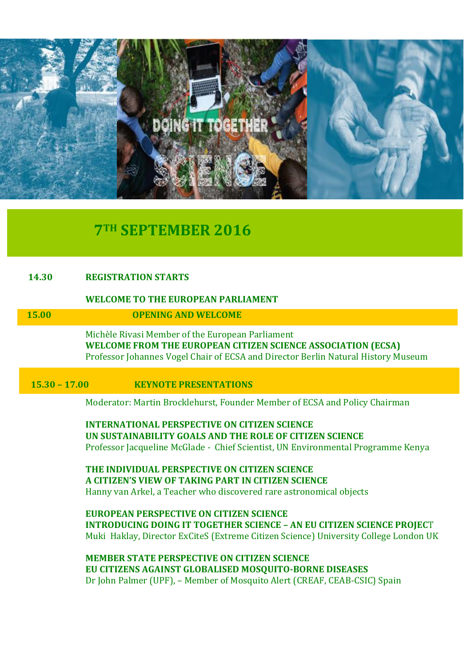

# **7TH SEPTEMBER 2016**

### **14.30 REGISTRATION STARTS**

#### **WELCOME TO THE EUROPEAN PARLIAMENT**

**15.00 OPENING AND WELCOME**

Michèle Rivasi Member of the European Parliament **WELCOME FROM THE EUROPEAN CITIZEN SCIENCE ASSOCIATION (ECSA)** Professor Johannes Vogel Chair of ECSA and Director Berlin Natural History Museum

**15.30 – 17.00 KEYNOTE PRESENTATIONS**

Moderator: Martin Brocklehurst, Founder Member of ECSA and Policy Chairman

**INTERNATIONAL PERSPECTIVE ON CITIZEN SCIENCE UN SUSTAINABILITY GOALS AND THE ROLE OF CITIZEN SCIENCE** Professor Jacqueline McGlade - Chief Scientist, UN Environmental Programme Kenya

**THE INDIVIDUAL PERSPECTIVE ON CITIZEN SCIENCE A CITIZEN'S VIEW OF TAKING PART IN CITIZEN SCIENCE** Hanny van Arkel, a Teacher who discovered rare astronomical objects

**EUROPEAN PERSPECTIVE ON CITIZEN SCIENCE INTRODUCING DOING IT TOGETHER SCIENCE – AN EU CITIZEN SCIENCE PROJEC**T Muki Haklay, Director ExCiteS (Extreme Citizen Science) University College London UK

**MEMBER STATE PERSPECTIVE ON CITIZEN SCIENCE EU CITIZENS AGAINST GLOBALISED MOSQUITO-BORNE DISEASES** Dr John Palmer (UPF), – Member of Mosquito Alert (CREAF, CEAB-CSIC) Spain